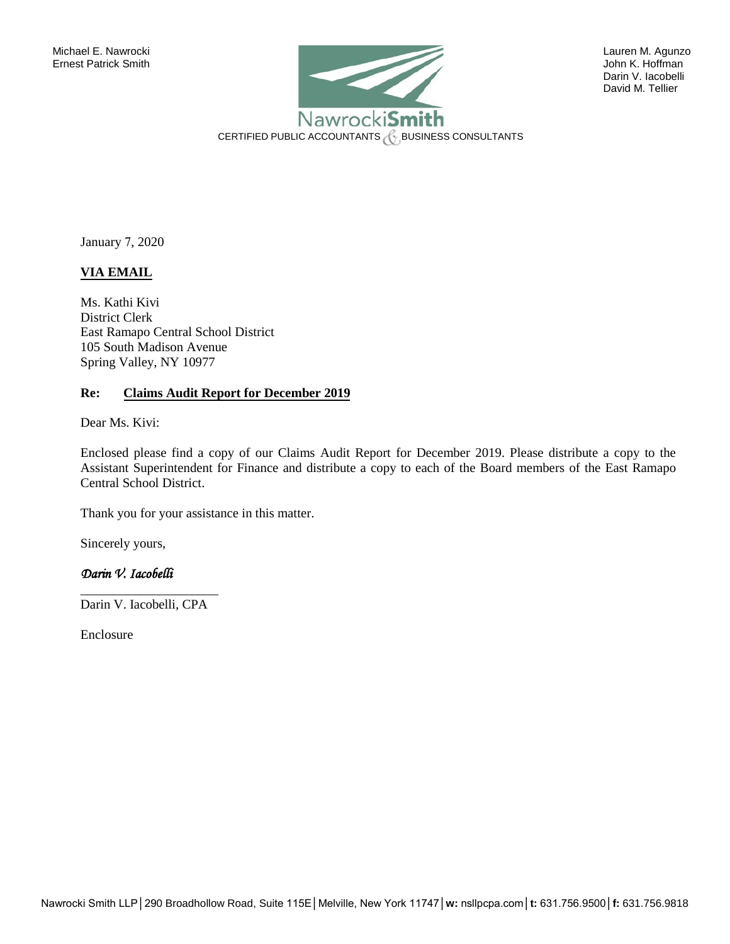

 Darin V. Iacobelli David M. Tellier

January 7, 2020

## **VIA EMAIL**

Ms. Kathi Kivi District Clerk East Ramapo Central School District 105 South Madison Avenue Spring Valley, NY 10977

#### **Re: Claims Audit Report for December 2019**

Dear Ms. Kivi:

Enclosed please find a copy of our Claims Audit Report for December 2019. Please distribute a copy to the Assistant Superintendent for Finance and distribute a copy to each of the Board members of the East Ramapo Central School District.

Thank you for your assistance in this matter.

Sincerely yours,

## *Darin V. Iacobelli*

\_\_\_\_\_\_\_\_\_\_\_\_\_\_\_\_\_\_\_\_\_ Darin V. Iacobelli, CPA

Enclosure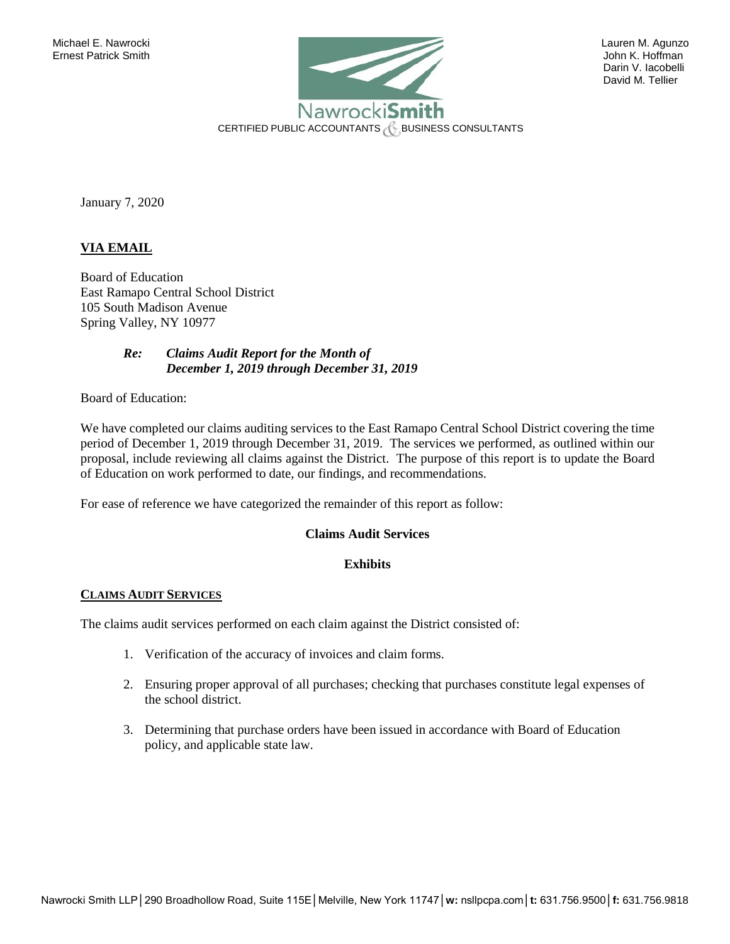

 Darin V. Iacobelli David M. Tellier

January 7, 2020

## **VIA EMAIL**

Board of Education East Ramapo Central School District 105 South Madison Avenue Spring Valley, NY 10977

#### *Re: Claims Audit Report for the Month of December 1, 2019 through December 31, 2019*

Board of Education:

We have completed our claims auditing services to the East Ramapo Central School District covering the time period of December 1, 2019 through December 31, 2019. The services we performed, as outlined within our proposal, include reviewing all claims against the District. The purpose of this report is to update the Board of Education on work performed to date, our findings, and recommendations.

For ease of reference we have categorized the remainder of this report as follow:

## **Claims Audit Services**

## **Exhibits**

#### **CLAIMS AUDIT SERVICES**

The claims audit services performed on each claim against the District consisted of:

- 1. Verification of the accuracy of invoices and claim forms.
- 2. Ensuring proper approval of all purchases; checking that purchases constitute legal expenses of the school district.
- 3. Determining that purchase orders have been issued in accordance with Board of Education policy, and applicable state law.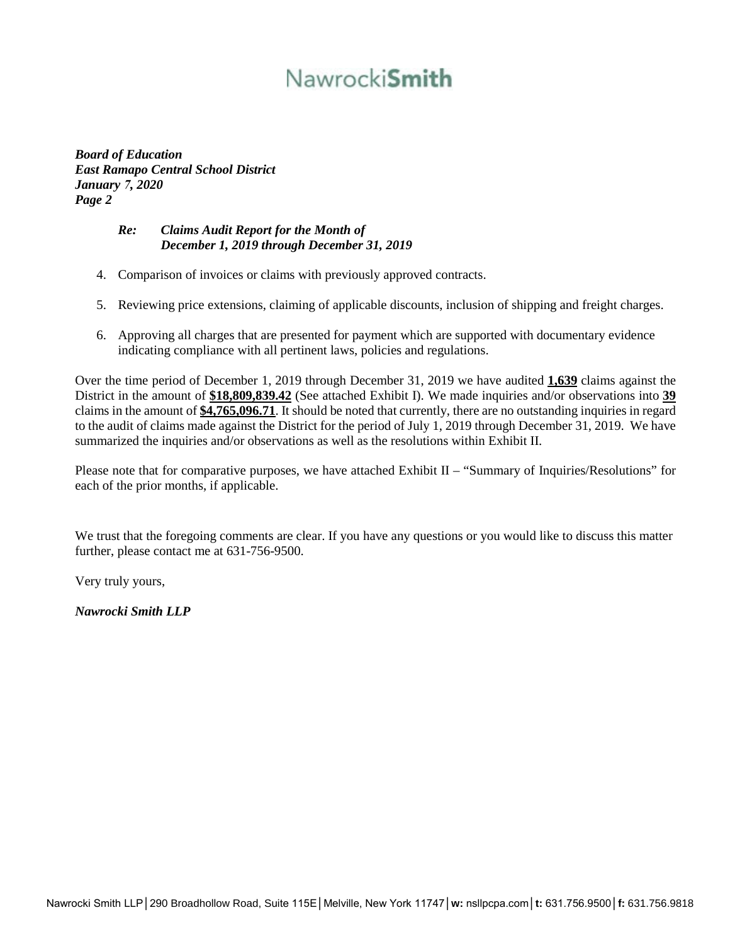# Nawrocki**Smith**

*Board of Education East Ramapo Central School District January 7, 2020 Page 2* 

## *Re: Claims Audit Report for the Month of December 1, 2019 through December 31, 2019*

- 4. Comparison of invoices or claims with previously approved contracts.
- 5. Reviewing price extensions, claiming of applicable discounts, inclusion of shipping and freight charges.
- 6. Approving all charges that are presented for payment which are supported with documentary evidence indicating compliance with all pertinent laws, policies and regulations.

Over the time period of December 1, 2019 through December 31, 2019 we have audited **1,639** claims against the District in the amount of **\$18,809,839.42** (See attached Exhibit I). We made inquiries and/or observations into **39** claims in the amount of **\$4,765,096.71**. It should be noted that currently, there are no outstanding inquiries in regard to the audit of claims made against the District for the period of July 1, 2019 through December 31, 2019. We have summarized the inquiries and/or observations as well as the resolutions within Exhibit II.

Please note that for comparative purposes, we have attached Exhibit II – "Summary of Inquiries/Resolutions" for each of the prior months, if applicable.

We trust that the foregoing comments are clear. If you have any questions or you would like to discuss this matter further, please contact me at 631-756-9500.

Very truly yours,

*Nawrocki Smith LLP*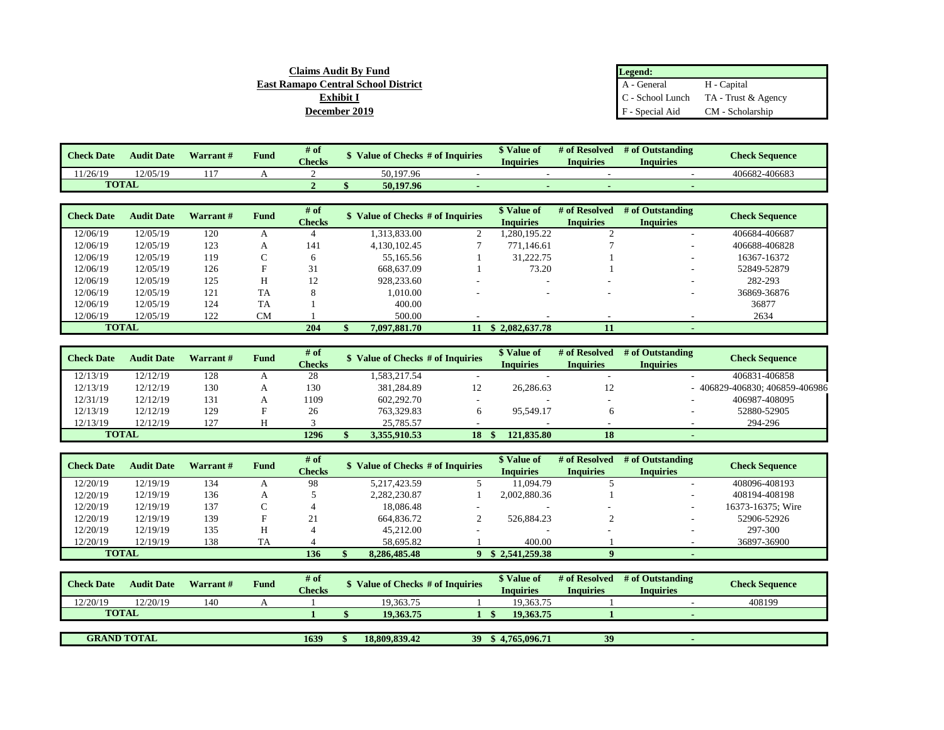| <b>Claims Audit By Fund</b>         | Legend:         |                                        |
|-------------------------------------|-----------------|----------------------------------------|
| East Ramapo Central School District | A - General     | H - Capital                            |
| Exhibit I                           |                 | $C -$ School Lunch TA - Trust & Agency |
| December 2019                       | F - Special Aid | CM - Scholarship                       |

| <b>Check Date</b> | <b>Audit Date</b> | Warrant# | <b>Fund</b> | $#$ of<br><b>Checks</b> | \$ Value of Checks # of Inquiries |                                   | \$ Value of<br><b>Inquiries</b> | # of Resolved<br><b>Inquiries</b> | # of Outstanding<br><b>Inquiries</b> | <b>Check Sequence</b> |                       |
|-------------------|-------------------|----------|-------------|-------------------------|-----------------------------------|-----------------------------------|---------------------------------|-----------------------------------|--------------------------------------|-----------------------|-----------------------|
| 1/26/19           | 12/05/19          | 117      |             |                         |                                   | 50,197.96                         |                                 |                                   |                                      |                       | 406682-406683         |
|                   | <b>TOTAL</b>      |          |             |                         |                                   | 50,197.96                         |                                 |                                   |                                      |                       |                       |
|                   |                   |          |             |                         |                                   |                                   |                                 |                                   |                                      |                       |                       |
| <b>Check Date</b> | <b>Audit Date</b> | Warrant# | <b>Fund</b> | # of                    |                                   | \$ Value of Checks # of Inquiries |                                 | \$ Value of                       | # of Resolved                        | # of Outstanding      | <b>Check Sequence</b> |
|                   |                   |          |             | <b>Checks</b>           |                                   |                                   |                                 | <b>Inquiries</b>                  | <b>Inquiries</b>                     | <b>Inquiries</b>      |                       |
| 12/06/19          | 12/05/19          | 120      |             | 4                       |                                   | 1.313.833.00                      |                                 | 1.280.195.22                      |                                      | $\sim$                | 406684-406687         |
| 12/06/19          | 12/05/19          | 123      | А           | 141                     |                                   | 4,130,102.45                      |                                 | 771,146.61                        |                                      |                       | 406688-406828         |
| 12/06/19          | 12/05/19          | 119      |             | 6                       |                                   | 55,165.56                         |                                 | 31,222.75                         |                                      |                       | 16367-16372           |
| 12/06/19          | 12/05/19          | 126      | F           | 31                      |                                   | 668,637.09                        |                                 | 73.20                             |                                      |                       | 52849-52879           |
| 12/06/19          | 12/05/19          | 125      | Н           | 12                      |                                   | 928,233.60                        |                                 |                                   |                                      |                       | 282-293               |
| 12/06/19          | 12/05/19          | 121      | <b>TA</b>   | 8                       |                                   | 1.010.00                          |                                 |                                   |                                      |                       | 36869-36876           |
| 12/06/19          | 12/05/19          | 124      | TA          |                         |                                   | 400.00                            |                                 |                                   |                                      |                       | 36877                 |
| 12/06/19          | 12/05/19          | 122      | <b>CM</b>   |                         | 500.00                            |                                   |                                 |                                   |                                      |                       | 2634                  |
|                   | <b>TOTAL</b>      |          |             | 204                     | 7.097.881.70<br>11                |                                   | \$2,082,637.78                  | 11                                |                                      |                       |                       |

| <b>Check Date</b> | <b>Audit Date</b> | Warrant# | Fund | $#$ of<br><b>Checks</b> | <b>\$</b> Value of Checks # of Inquiries |    | <b>S</b> Value of<br><b>Inquiries</b> | # of Resolved<br><b>Inquiries</b> | # of Outstanding<br><b>Inquiries</b> | <b>Check Sequence</b>        |
|-------------------|-------------------|----------|------|-------------------------|------------------------------------------|----|---------------------------------------|-----------------------------------|--------------------------------------|------------------------------|
| 12/13/19          | 12/12/19          | 128      |      | 28                      | 1,583,217.54                             | -  | -                                     | . .                               | $\sim$                               | 406831-406858                |
| 12/13/19          | 12/12/19          | 130      |      | 130                     | 381,284.89                               | 12 | 26.286.63                             | 12                                |                                      | 406829-406830; 406859-406986 |
| 12/31/19          | 12/12/19          | 131      |      | 1109                    | 602,292.70                               | -  |                                       |                                   | $\sim$                               | 406987-408095                |
| 12/13/19          | 12/12/19          | 129      |      | 26                      | 763,329.83                               |    | 95.549.17                             |                                   |                                      | 52880-52905                  |
| 12/13/19          | 12/12/19          | 127      |      |                         | 25,785.57                                |    |                                       |                                   |                                      | 294-296                      |
| <b>TOTAL</b>      |                   |          |      | 1296                    | 3.355.910.53                             | 18 | 121,835.80                            | 18                                | $\sim$                               |                              |

| <b>Check Date</b> | <b>Audit Date</b> | Warrant # | Fund           | # of          | \$ Value of Checks # of Inquiries | \$ Value of      | # of Resolved    | # of Outstanding | <b>Check Sequence</b> |
|-------------------|-------------------|-----------|----------------|---------------|-----------------------------------|------------------|------------------|------------------|-----------------------|
|                   |                   |           |                | <b>Checks</b> |                                   | <b>Inquiries</b> | <b>Inquiries</b> | <b>Inquiries</b> |                       |
| 12/20/19          | 12/19/19          | 134       | $\overline{ }$ | 98            | 5.217.423.59                      | 11.094.79        |                  |                  | 408096-408193         |
| 12/20/19          | 12/19/19          | 136       |                |               | 2,282,230.87                      | 2.002.880.36     |                  |                  | 408194-408198         |
| 12/20/19          | 12/19/19          | 137       |                |               | 18,086.48                         |                  |                  |                  | 16373-16375; Wire     |
| 12/20/19          | 12/19/19          | 139       |                | 21            | 664,836.72                        | 526,884.23       |                  |                  | 52906-52926           |
| 12/20/19          | 12/19/19          | 135       | Н              |               | 45,212.00                         |                  |                  |                  | 297-300               |
| 12/20/19          | 12/19/19          | 138       | <b>TA</b>      |               | 58.695.82                         | 400.00           |                  |                  | 36897-36900           |
| <b>TOTAL</b>      |                   |           |                | 136           | 8.286.485.48                      | \$2,541,259.38   |                  |                  |                       |

| <b>Check Date</b>  | <b>Audit Date</b> | Warrant# | Fund | # of          | Value of Checks # of Inquiries |    | \$ Value of | # of Resolved  | # of Outstanding | <b>Check Sequence</b> |        |
|--------------------|-------------------|----------|------|---------------|--------------------------------|----|-------------|----------------|------------------|-----------------------|--------|
|                    |                   |          |      | <b>Checks</b> |                                |    | Inquiries   | Inquiries      | <b>Inquiries</b> |                       |        |
| 12/20/19           | 12/20/19          | 140      |      |               | 19.363.75                      |    |             | 19.363.75      |                  |                       | 408199 |
| <b>TOTAL</b>       |                   |          |      |               | 19.363.75                      |    |             | 19.363.75      |                  |                       |        |
|                    |                   |          |      |               |                                |    |             |                |                  |                       |        |
| <b>GRAND TOTAL</b> |                   |          |      | 1639          | 18.809.839.42                  | 39 |             | 3,4.765.096.71 | 39               |                       |        |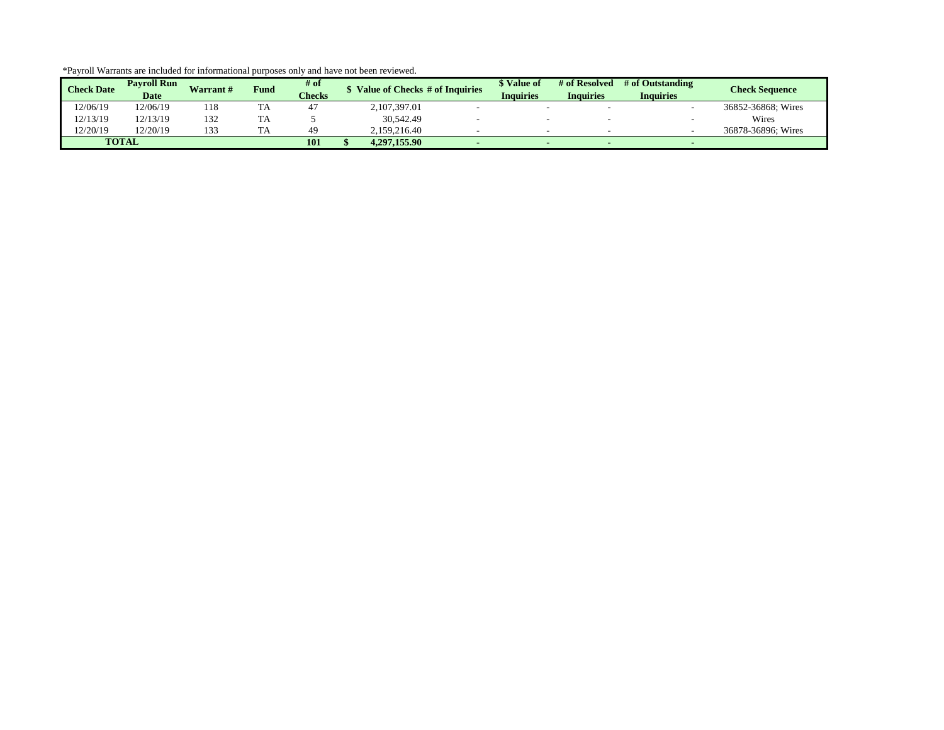| <b>Check Date</b> | <b>Pavroll Run</b><br><b>Date</b> | <b>Warrant#</b> | <b>Fund</b> | # of<br><b>Checks</b> | Value of Checks # of Inquiries | <i>Nalue</i> of<br><b>Inquiries</b> | # of Resolved<br>Inquiries | # of Outstanding<br><b>Inquiries</b> | <b>Check Sequence</b> |
|-------------------|-----------------------------------|-----------------|-------------|-----------------------|--------------------------------|-------------------------------------|----------------------------|--------------------------------------|-----------------------|
| 12/06/19          | 12/06/19                          | 118             |             | 47                    | 2.107.397.01                   |                                     |                            |                                      | 36852-36868; Wires    |
| 12/13/19          | 12/13/19                          | 132             | ΙA          |                       | 30,542.49                      |                                     |                            |                                      | Wires                 |
| 12/20/19          | 12/20/19                          | 133             |             | 49                    | 2.159.216.40                   |                                     |                            |                                      | 36878-36896: Wires    |
|                   | <b>TOTAL</b>                      |                 |             | 101                   | 4.297.155.90                   |                                     |                            |                                      |                       |

\*Payroll Warrants are included for informational purposes only and have not been reviewed.